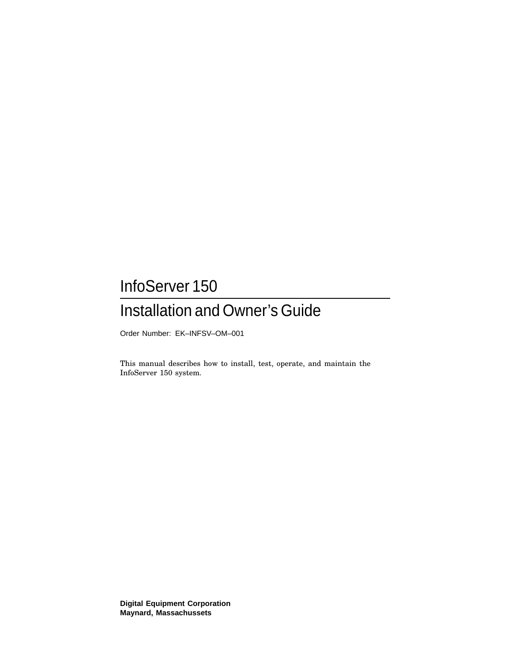# InfoServer 150

# Installation and Owner's Guide

Order Number: EK–INFSV–OM–001

This manual describes how to install, test, operate, and maintain the InfoServer 150 system.

**Digital Equipment Corporation Maynard, Massachussets**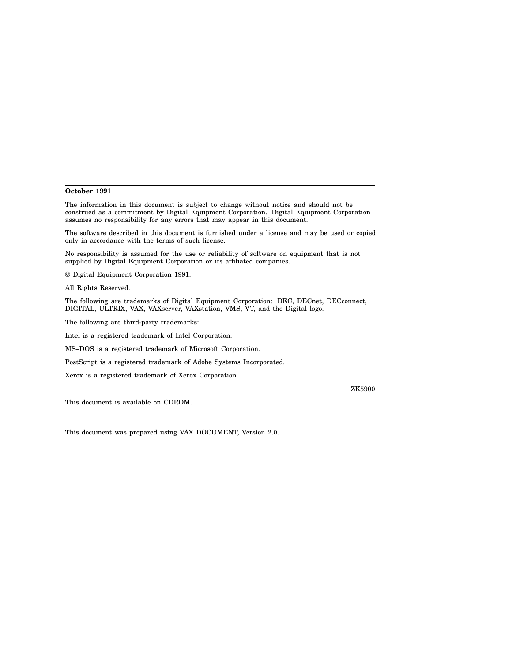#### **October 1991**

The information in this document is subject to change without notice and should not be construed as a commitment by Digital Equipment Corporation. Digital Equipment Corporation assumes no responsibility for any errors that may appear in this document.

The software described in this document is furnished under a license and may be used or copied only in accordance with the terms of such license.

No responsibility is assumed for the use or reliability of software on equipment that is not supplied by Digital Equipment Corporation or its affiliated companies.

© Digital Equipment Corporation 1991.

All Rights Reserved.

The following are trademarks of Digital Equipment Corporation: DEC, DECnet, DECconnect, DIGITAL, ULTRIX, VAX, VAXserver, VAXstation, VMS, VT, and the Digital logo.

The following are third-party trademarks:

Intel is a registered trademark of Intel Corporation.

MS–DOS is a registered trademark of Microsoft Corporation.

PostScript is a registered trademark of Adobe Systems Incorporated.

Xerox is a registered trademark of Xerox Corporation.

ZK5900

This document is available on CDROM.

This document was prepared using VAX DOCUMENT, Version 2.0.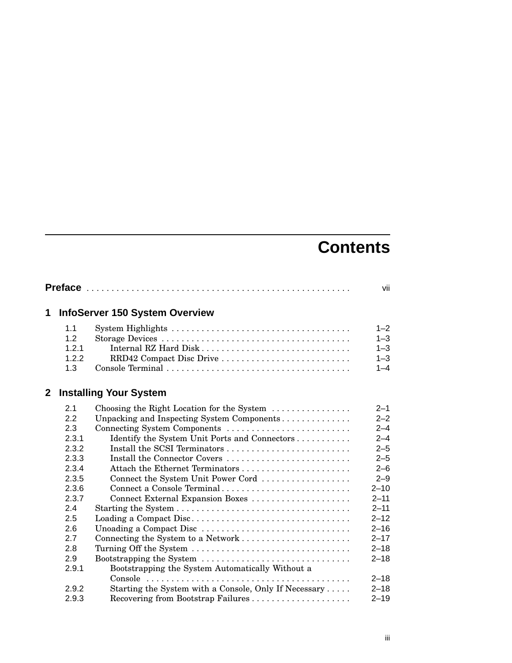# **Contents**

|             |       |                                                                                          | vii      |
|-------------|-------|------------------------------------------------------------------------------------------|----------|
| 1           |       | <b>InfoServer 150 System Overview</b>                                                    |          |
|             | 1.1   |                                                                                          | $1 - 2$  |
|             | 1.2   |                                                                                          | $1 - 3$  |
|             | 1.2.1 |                                                                                          | $1 - 3$  |
|             | 1.2.2 | RRD42 Compact Disc Drive                                                                 | $1 - 3$  |
|             | 1.3   |                                                                                          | $1 - 4$  |
| $\mathbf 2$ |       | <b>Installing Your System</b>                                                            |          |
|             | 2.1   | Choosing the Right Location for the System                                               | $2 - 1$  |
|             | 2.2   | Unpacking and Inspecting System Components                                               | $2 - 2$  |
|             | 2.3   | Connecting System Components                                                             | $2 - 4$  |
|             | 2.3.1 | Identify the System Unit Ports and Connectors                                            | $2 - 4$  |
|             | 2.3.2 |                                                                                          | $2 - 5$  |
|             | 2.3.3 | Install the Connector Covers                                                             | $2 - 5$  |
|             | 2.3.4 |                                                                                          | $2 - 6$  |
|             | 2.3.5 | Connect the System Unit Power Cord                                                       | $2 - 9$  |
|             | 2.3.6 | Connect a Console Terminal                                                               | $2 - 10$ |
|             | 2.3.7 |                                                                                          | $2 - 11$ |
|             | 2.4   |                                                                                          | $2 - 11$ |
|             | 2.5   | Loading a Compact Disc                                                                   | $2 - 12$ |
|             | 2.6   | Unoading a Compact Disc $\ldots \ldots \ldots \ldots \ldots \ldots \ldots \ldots \ldots$ | $2 - 16$ |
|             | 2.7   |                                                                                          | $2 - 17$ |
|             | 2.8   | Turning Off the System                                                                   | $2 - 18$ |
|             | 2.9   | Bootstrapping the System $\dots \dots \dots \dots \dots \dots \dots \dots \dots$         | $2 - 18$ |
|             | 2.9.1 | Bootstrapping the System Automatically Without a                                         |          |
|             |       |                                                                                          | $2 - 18$ |
|             | 2.9.2 | Starting the System with a Console, Only If Necessary                                    | $2 - 18$ |
|             | 2.9.3 | Recovering from Bootstrap Failures                                                       | $2 - 19$ |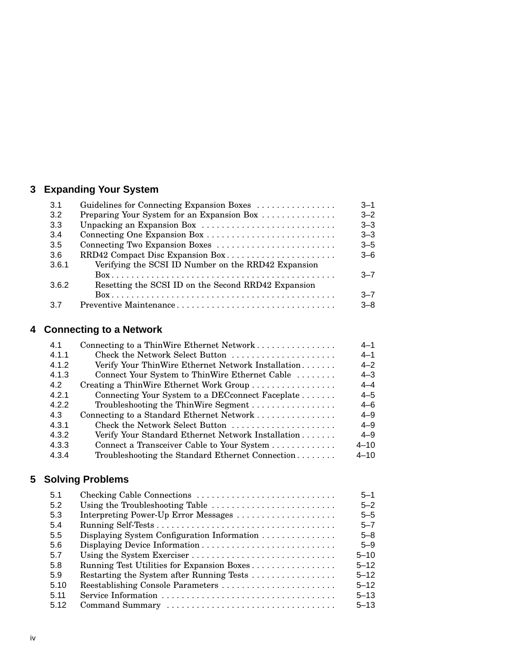## **3 Expanding Your System**

| 3.1   | Guidelines for Connecting Expansion Boxes           | $3 - 1$ |
|-------|-----------------------------------------------------|---------|
| 3.2   | Preparing Your System for an Expansion Box          | $3 - 2$ |
| 3.3   | Unpacking an Expansion Box                          | $3 - 3$ |
| 3.4   |                                                     | $3 - 3$ |
| 3.5   | Connecting Two Expansion Boxes                      | $3 - 5$ |
| 3.6   | RRD42 Compact Disc Expansion Box                    | $3 - 6$ |
| 3.6.1 | Verifying the SCSI ID Number on the RRD42 Expansion |         |
|       |                                                     | $-7$    |
| 3.6.2 | Resetting the SCSI ID on the Second RRD42 Expansion |         |
|       |                                                     | $-7$    |
| 3.7   | Preventive Maintenance                              | $3 - 8$ |

## **4 Connecting to a Network**

| 4.1   | Connecting to a ThinWire Ethernet Network          | $4 - 1$  |
|-------|----------------------------------------------------|----------|
| 4.1.1 | Check the Network Select Button                    | $4 - 1$  |
| 4.1.2 | Verify Your ThinWire Ethernet Network Installation | $4 - 2$  |
| 4.1.3 | Connect Your System to ThinWire Ethernet Cable     | $4 - 3$  |
| 4.2   | Creating a ThinWire Ethernet Work Group            | $4 - 4$  |
| 4.2.1 | Connecting Your System to a DECconnect Faceplate   | $4 - 5$  |
| 4.2.2 | Troubleshooting the ThinWire Segment               | $4 - 6$  |
| 4.3   | Connecting to a Standard Ethernet Network          | $4 - 9$  |
| 4.3.1 | Check the Network Select Button                    | $4 - 9$  |
| 4.3.2 | Verify Your Standard Ethernet Network Installation | $4 - 9$  |
| 4.3.3 | Connect a Transceiver Cable to Your System         | $4 - 10$ |
| 4.3.4 | Troubleshooting the Standard Ethernet Connection   | $4 - 10$ |

## **5 Solving Problems**

| 5.1  | Checking Cable Connections                  | $5 - 1$  |
|------|---------------------------------------------|----------|
| 5.2  | Using the Troubleshooting Table             | $5 - 2$  |
| 5.3  | Interpreting Power-Up Error Messages        | $5 - 5$  |
| 5.4  |                                             | $5 - 7$  |
| 5.5  | Displaying System Configuration Information | $5 - 8$  |
| 5.6  |                                             | $5 - 9$  |
| 5.7  |                                             | $5 - 10$ |
| 5.8  | Running Test Utilities for Expansion Boxes  | $5 - 12$ |
| 5.9  |                                             | $5 - 12$ |
| 5.10 | Reestablishing Console Parameters           | $5 - 12$ |
| 5.11 |                                             | $5 - 13$ |
| 5.12 |                                             | $5 - 13$ |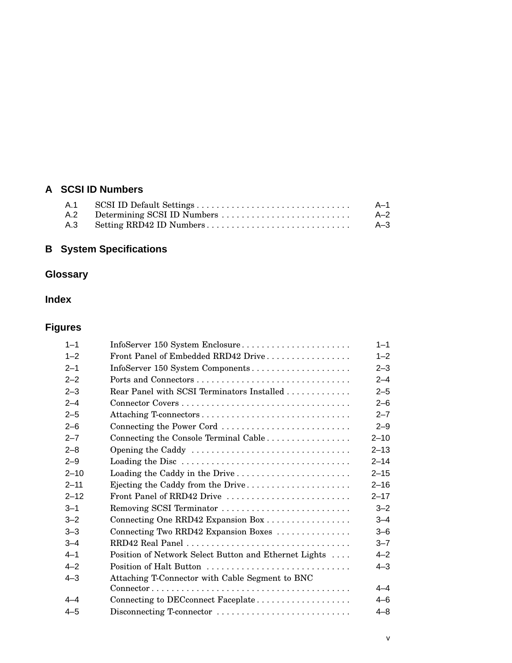## **A SCSI ID Numbers**

|  | $A-1$   |
|--|---------|
|  | $A - 2$ |
|  | $A - 3$ |

# **B System Specifications**

# **Glossary**

## **Index**

## **Figures**

| $1 - 1$  | InfoServer 150 System Enclosure                                                                        | $1 - 1$  |
|----------|--------------------------------------------------------------------------------------------------------|----------|
| $1 - 2$  | Front Panel of Embedded RRD42 Drive                                                                    | $1 - 2$  |
| $2 - 1$  | InfoServer 150 System Components                                                                       | $2 - 3$  |
| $2 - 2$  |                                                                                                        | $2 - 4$  |
| $2 - 3$  | Rear Panel with SCSI Terminators Installed                                                             | $2 - 5$  |
| $2 - 4$  |                                                                                                        | $2 - 6$  |
| $2 - 5$  |                                                                                                        | $2 - 7$  |
| $2 - 6$  | Connecting the Power Cord                                                                              | $2 - 9$  |
| $2 - 7$  | Connecting the Console Terminal Cable                                                                  | $2 - 10$ |
| $2 - 8$  | Opening the Caddy                                                                                      | $2 - 13$ |
| $2 - 9$  |                                                                                                        | $2 - 14$ |
| $2 - 10$ | Loading the Caddy in the Drive                                                                         | $2 - 15$ |
| $2 - 11$ | Ejecting the Caddy from the Drive                                                                      | $2 - 16$ |
| $2 - 12$ | Front Panel of RRD42 Drive                                                                             | $2 - 17$ |
| $3 - 1$  | Removing SCSI Terminator                                                                               | $3 - 2$  |
| $3 - 2$  | Connecting One RRD42 Expansion Box                                                                     | $3 - 4$  |
| $3 - 3$  | Connecting Two RRD42 Expansion Boxes                                                                   | $3 - 6$  |
| $3 - 4$  | RRD42 Real Panel                                                                                       | $3 - 7$  |
| $4 - 1$  | Position of Network Select Button and Ethernet Lights                                                  | $4 - 2$  |
| $4 - 2$  |                                                                                                        | $4 - 3$  |
| $4 - 3$  | Attaching T-Connector with Cable Segment to BNC                                                        |          |
|          | $Connector \ldots \ldots \ldots \ldots \ldots \ldots \ldots \ldots \ldots \ldots \ldots \ldots \ldots$ | $4 - 4$  |
| $4 - 4$  | Connecting to DECconnect Faceplate                                                                     | $4 - 6$  |
| $4 - 5$  | Disconnecting T-connector                                                                              | $4 - 8$  |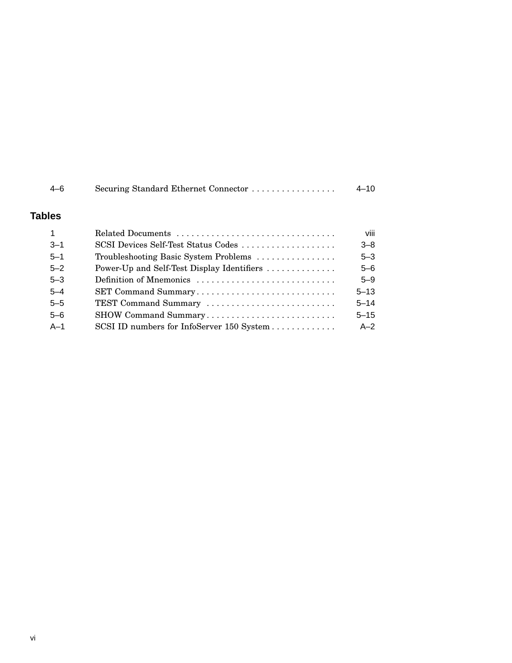| $4 - 6$       | Securing Standard Ethernet Connector       | $4 - 10$ |
|---------------|--------------------------------------------|----------|
| <b>Tables</b> |                                            |          |
|               | Related Documents                          | viii     |
| $3 - 1$       | SCSI Devices Self-Test Status Codes        | $3 - 8$  |
| $5 - 1$       | Troubleshooting Basic System Problems      | $5 - 3$  |
| $5 - 2$       | Power-Up and Self-Test Display Identifiers | $5 - 6$  |
| $5 - 3$       | Definition of Mnemonics                    | $5 - 9$  |
| $5 - 4$       | SET Command Summary                        | $5 - 13$ |
| $5 - 5$       | TEST Command Summary                       | $5 - 14$ |
| $5 - 6$       | SHOW Command Summary                       | $5 - 15$ |
| $A-1$         | SCSI ID numbers for InfoServer 150 System  | $A-2$    |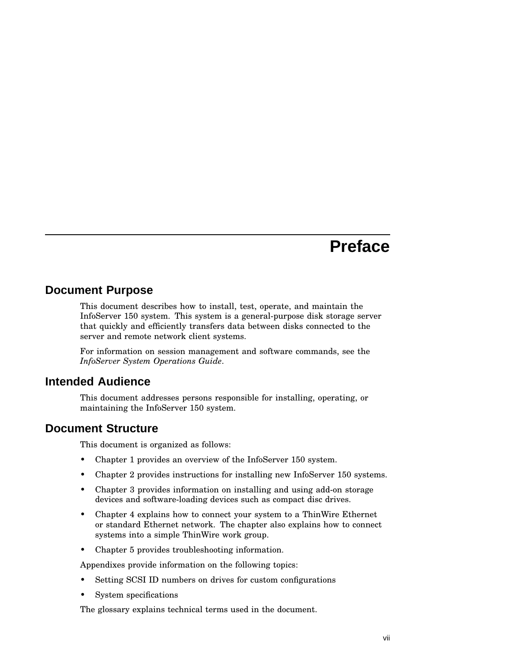# **Preface**

## **Document Purpose**

This document describes how to install, test, operate, and maintain the InfoServer 150 system. This system is a general-purpose disk storage server that quickly and efficiently transfers data between disks connected to the server and remote network client systems.

For information on session management and software commands, see the *InfoServer System Operations Guide*.

## **Intended Audience**

This document addresses persons responsible for installing, operating, or maintaining the InfoServer 150 system.

## **Document Structure**

This document is organized as follows:

- Chapter 1 provides an overview of the InfoServer 150 system.
- Chapter 2 provides instructions for installing new InfoServer 150 systems.
- Chapter 3 provides information on installing and using add-on storage devices and software-loading devices such as compact disc drives.
- Chapter 4 explains how to connect your system to a ThinWire Ethernet or standard Ethernet network. The chapter also explains how to connect systems into a simple ThinWire work group.
- Chapter 5 provides troubleshooting information.

Appendixes provide information on the following topics:

- Setting SCSI ID numbers on drives for custom configurations
- System specifications

The glossary explains technical terms used in the document.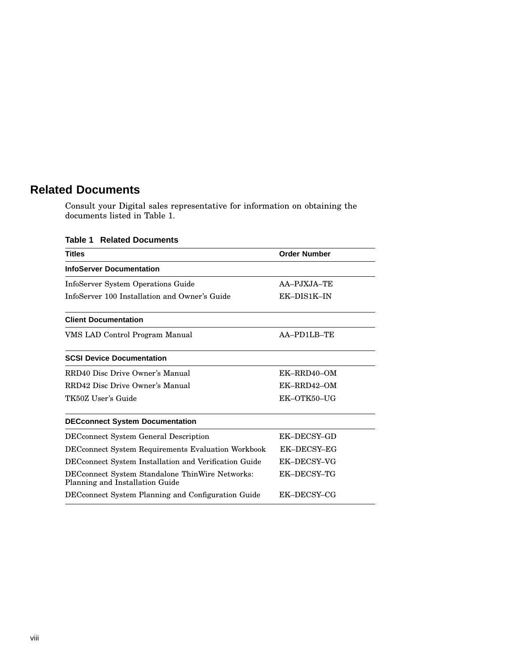## **Related Documents**

Consult your Digital sales representative for information on obtaining the documents listed in Table 1.

| <b>Titles</b>                                                                      | <b>Order Number</b> |
|------------------------------------------------------------------------------------|---------------------|
| <b>InfoServer Documentation</b>                                                    |                     |
| InfoServer System Operations Guide                                                 | AA-PJXJA-TE         |
| InfoServer 100 Installation and Owner's Guide                                      | EK-DIS1K-IN         |
| <b>Client Documentation</b>                                                        |                     |
| VMS LAD Control Program Manual                                                     | AA-PD1LB-TE         |
| <b>SCSI Device Documentation</b>                                                   |                     |
| RRD40 Disc Drive Owner's Manual                                                    | EK-RRD40-OM         |
| RRD42 Disc Drive Owner's Manual                                                    | EK-RRD42-OM         |
| TK50Z User's Guide                                                                 | EK-OTK50-UG         |
| <b>DECconnect System Documentation</b>                                             |                     |
| <b>DEC</b> connect System General Description                                      | EK-DECSY-GD         |
| <b>DECconnect System Requirements Evaluation Workbook</b>                          | EK-DECSY-EG         |
| DEC connect System Installation and Verification Guide                             | EK-DECSY-VG         |
| DECconnect System Standalone ThinWire Networks:<br>Planning and Installation Guide | EK-DECSY-TG         |
| DECconnect System Planning and Configuration Guide                                 | EK-DECSY-CG         |
|                                                                                    |                     |

### **Table 1 Related Documents**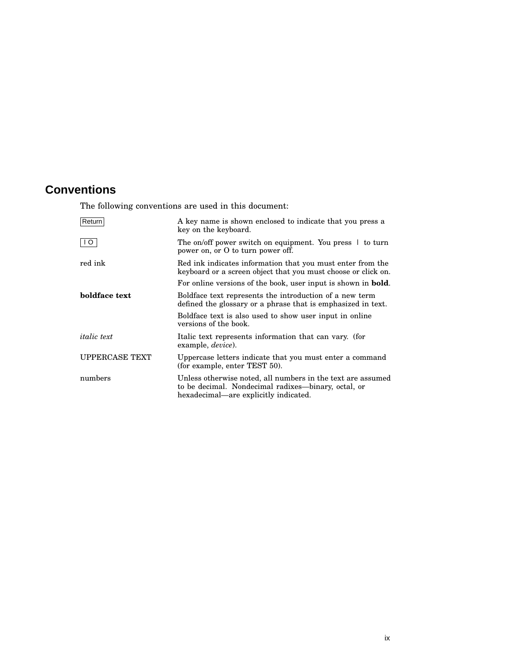## **Conventions**

The following conventions are used in this document:

| Return                | A key name is shown enclosed to indicate that you press a<br>key on the keyboard.                                                                           |
|-----------------------|-------------------------------------------------------------------------------------------------------------------------------------------------------------|
| I O                   | The on/off power switch on equipment. You press $\perp$ to turn<br>power on, or O to turn power off.                                                        |
| red ink               | Red ink indicates information that you must enter from the<br>keyboard or a screen object that you must choose or click on.                                 |
|                       | For online versions of the book, user input is shown in <b>bold</b> .                                                                                       |
| boldface text         | Boldface text represents the introduction of a new term<br>defined the glossary or a phrase that is emphasized in text.                                     |
|                       | Boldface text is also used to show user input in online<br>versions of the book.                                                                            |
| <i>italic</i> text    | Italic text represents information that can vary. (for<br>example, <i>device</i> ).                                                                         |
| <b>UPPERCASE TEXT</b> | Uppercase letters indicate that you must enter a command<br>(for example, enter TEST 50).                                                                   |
| numbers               | Unless otherwise noted, all numbers in the text are assumed<br>to be decimal. Nondecimal radixes—binary, octal, or<br>hexadecimal—are explicitly indicated. |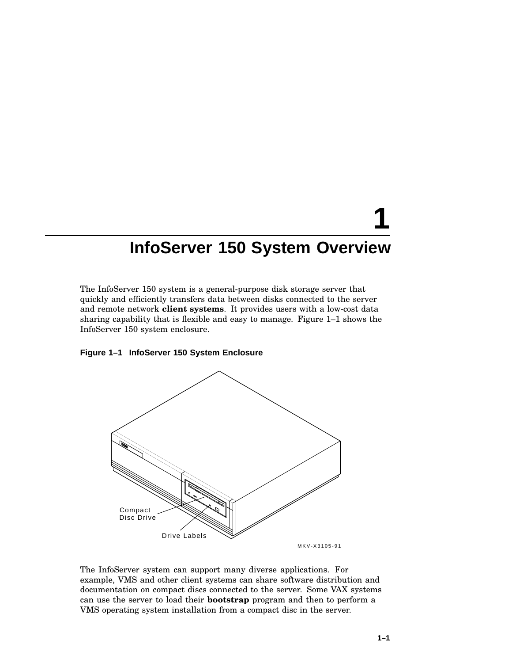# **InfoServer 150 System Overview**

The InfoServer 150 system is a general-purpose disk storage server that quickly and efficiently transfers data between disks connected to the server and remote network **client systems**. It provides users with a low-cost data sharing capability that is flexible and easy to manage. Figure 1–1 shows the InfoServer 150 system enclosure.

#### **Figure 1–1 InfoServer 150 System Enclosure**



The InfoServer system can support many diverse applications. For example, VMS and other client systems can share software distribution and documentation on compact discs connected to the server. Some VAX systems can use the server to load their **bootstrap** program and then to perform a VMS operating system installation from a compact disc in the server.

**1**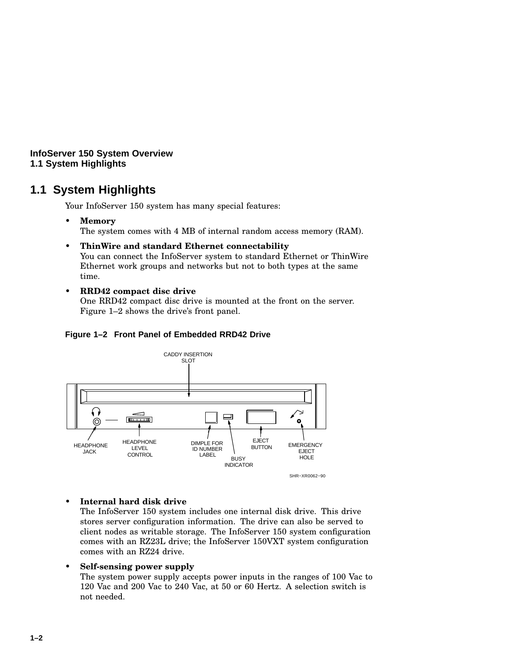**InfoServer 150 System Overview 1.1 System Highlights**

## **1.1 System Highlights**

Your InfoServer 150 system has many special features:

• **Memory**

The system comes with 4 MB of internal random access memory (RAM).

- **ThinWire and standard Ethernet connectability** You can connect the InfoServer system to standard Ethernet or ThinWire Ethernet work groups and networks but not to both types at the same time.
- **RRD42 compact disc drive**

One RRD42 compact disc drive is mounted at the front on the server. Figure 1–2 shows the drive's front panel.

#### **Figure 1–2 Front Panel of Embedded RRD42 Drive**



#### • **Internal hard disk drive**

The InfoServer 150 system includes one internal disk drive. This drive stores server configuration information. The drive can also be served to client nodes as writable storage. The InfoServer 150 system configuration comes with an RZ23L drive; the InfoServer 150VXT system configuration comes with an RZ24 drive.

#### • **Self-sensing power supply**

The system power supply accepts power inputs in the ranges of 100 Vac to 120 Vac and 200 Vac to 240 Vac, at 50 or 60 Hertz. A selection switch is not needed.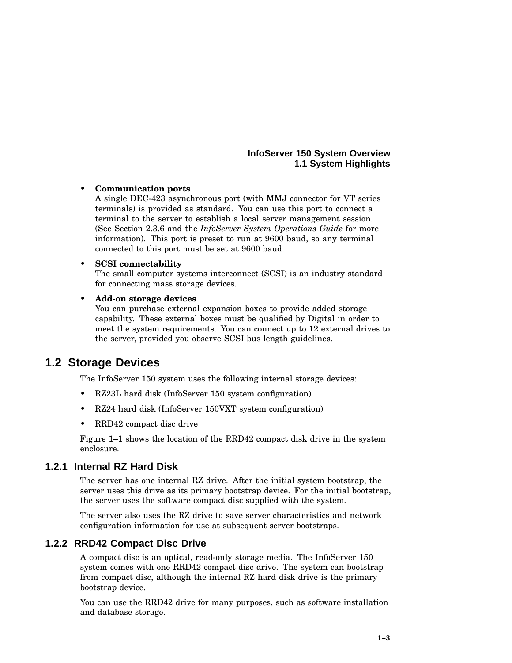### **InfoServer 150 System Overview 1.1 System Highlights**

### • **Communication ports**

A single DEC-423 asynchronous port (with MMJ connector for VT series terminals) is provided as standard. You can use this port to connect a terminal to the server to establish a local server management session. (See Section 2.3.6 and the *InfoServer System Operations Guide* for more information). This port is preset to run at 9600 baud, so any terminal connected to this port must be set at 9600 baud.

#### • **SCSI connectability**

The small computer systems interconnect (SCSI) is an industry standard for connecting mass storage devices.

#### • **Add-on storage devices**

You can purchase external expansion boxes to provide added storage capability. These external boxes must be qualified by Digital in order to meet the system requirements. You can connect up to 12 external drives to the server, provided you observe SCSI bus length guidelines.

## **1.2 Storage Devices**

The InfoServer 150 system uses the following internal storage devices:

- RZ23L hard disk (InfoServer 150 system configuration)
- RZ24 hard disk (InfoServer 150VXT system configuration)
- RRD42 compact disc drive

Figure 1–1 shows the location of the RRD42 compact disk drive in the system enclosure.

## **1.2.1 Internal RZ Hard Disk**

The server has one internal RZ drive. After the initial system bootstrap, the server uses this drive as its primary bootstrap device. For the initial bootstrap, the server uses the software compact disc supplied with the system.

The server also uses the RZ drive to save server characteristics and network configuration information for use at subsequent server bootstraps.

## **1.2.2 RRD42 Compact Disc Drive**

A compact disc is an optical, read-only storage media. The InfoServer 150 system comes with one RRD42 compact disc drive. The system can bootstrap from compact disc, although the internal RZ hard disk drive is the primary bootstrap device.

You can use the RRD42 drive for many purposes, such as software installation and database storage.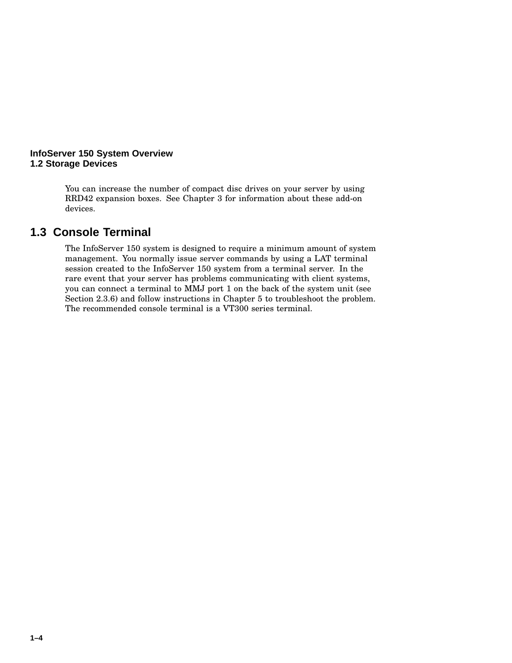#### **InfoServer 150 System Overview 1.2 Storage Devices**

You can increase the number of compact disc drives on your server by using RRD42 expansion boxes. See Chapter 3 for information about these add-on devices.

## **1.3 Console Terminal**

The InfoServer 150 system is designed to require a minimum amount of system management. You normally issue server commands by using a LAT terminal session created to the InfoServer 150 system from a terminal server. In the rare event that your server has problems communicating with client systems, you can connect a terminal to MMJ port 1 on the back of the system unit (see Section 2.3.6) and follow instructions in Chapter 5 to troubleshoot the problem. The recommended console terminal is a VT300 series terminal.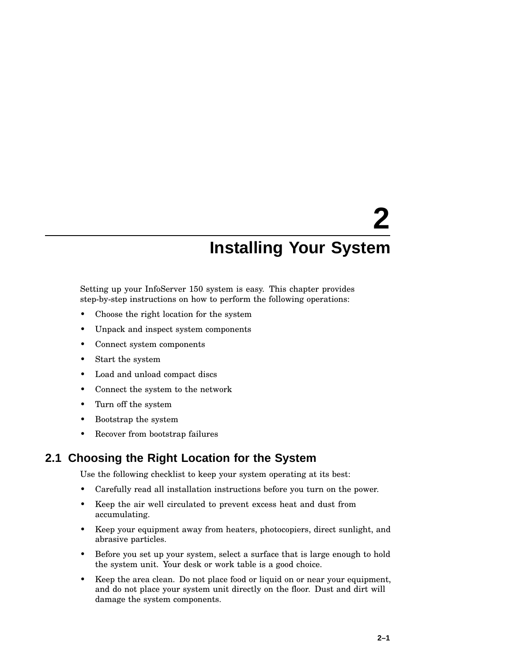# **2 Installing Your System**

Setting up your InfoServer 150 system is easy. This chapter provides step-by-step instructions on how to perform the following operations:

- Choose the right location for the system
- Unpack and inspect system components
- Connect system components
- Start the system
- Load and unload compact discs
- Connect the system to the network
- Turn off the system
- Bootstrap the system
- Recover from bootstrap failures

## **2.1 Choosing the Right Location for the System**

Use the following checklist to keep your system operating at its best:

- Carefully read all installation instructions before you turn on the power.
- Keep the air well circulated to prevent excess heat and dust from accumulating.
- Keep your equipment away from heaters, photocopiers, direct sunlight, and abrasive particles.
- Before you set up your system, select a surface that is large enough to hold the system unit. Your desk or work table is a good choice.
- Keep the area clean. Do not place food or liquid on or near your equipment, and do not place your system unit directly on the floor. Dust and dirt will damage the system components.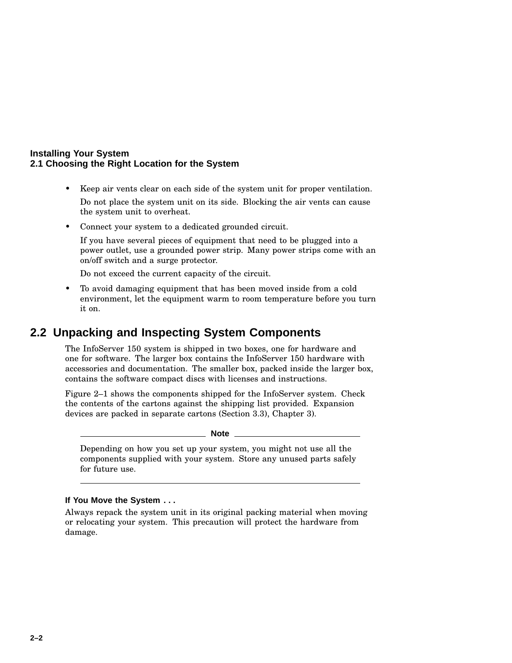#### **Installing Your System 2.1 Choosing the Right Location for the System**

- Keep air vents clear on each side of the system unit for proper ventilation. Do not place the system unit on its side. Blocking the air vents can cause the system unit to overheat.
- Connect your system to a dedicated grounded circuit.

If you have several pieces of equipment that need to be plugged into a power outlet, use a grounded power strip. Many power strips come with an on/off switch and a surge protector.

Do not exceed the current capacity of the circuit.

• To avoid damaging equipment that has been moved inside from a cold environment, let the equipment warm to room temperature before you turn it on.

## **2.2 Unpacking and Inspecting System Components**

The InfoServer 150 system is shipped in two boxes, one for hardware and one for software. The larger box contains the InfoServer 150 hardware with accessories and documentation. The smaller box, packed inside the larger box, contains the software compact discs with licenses and instructions.

Figure 2–1 shows the components shipped for the InfoServer system. Check the contents of the cartons against the shipping list provided. Expansion devices are packed in separate cartons (Section 3.3), Chapter 3).

**Note**

Depending on how you set up your system, you might not use all the components supplied with your system. Store any unused parts safely for future use.

#### **If You Move the System . . .**

Always repack the system unit in its original packing material when moving or relocating your system. This precaution will protect the hardware from damage.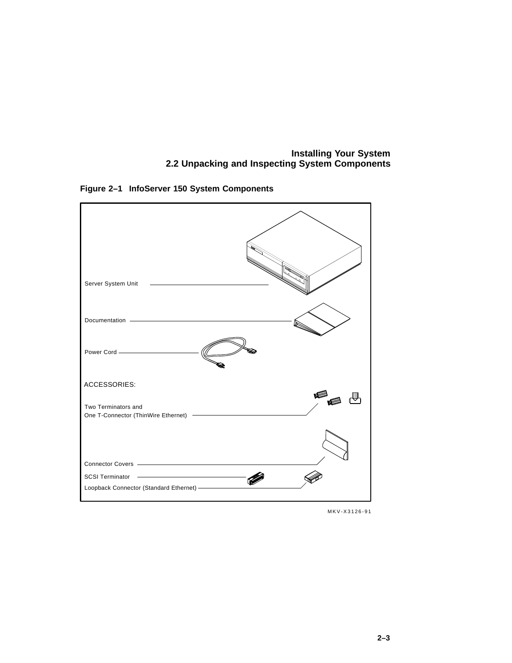## **Installing Your System 2.2 Unpacking and Inspecting System Components**



**Figure 2–1 InfoServer 150 System Components**

MKV-X3126-91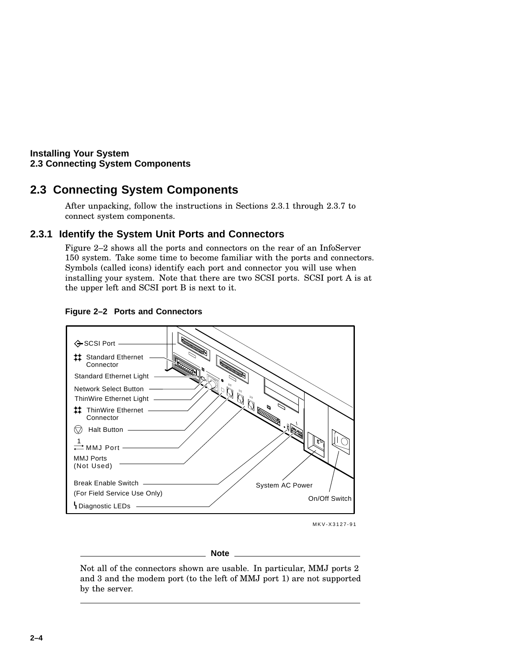## **2.3 Connecting System Components**

After unpacking, follow the instructions in Sections 2.3.1 through 2.3.7 to connect system components.

## **2.3.1 Identify the System Unit Ports and Connectors**

Figure 2–2 shows all the ports and connectors on the rear of an InfoServer 150 system. Take some time to become familiar with the ports and connectors. Symbols (called icons) identify each port and connector you will use when installing your system. Note that there are two SCSI ports. SCSI port A is at the upper left and SCSI port B is next to it.



#### **Figure 2–2 Ports and Connectors**

MKV-X3127-91

#### **Note**

Not all of the connectors shown are usable. In particular, MMJ ports 2 and 3 and the modem port (to the left of MMJ port 1) are not supported by the server.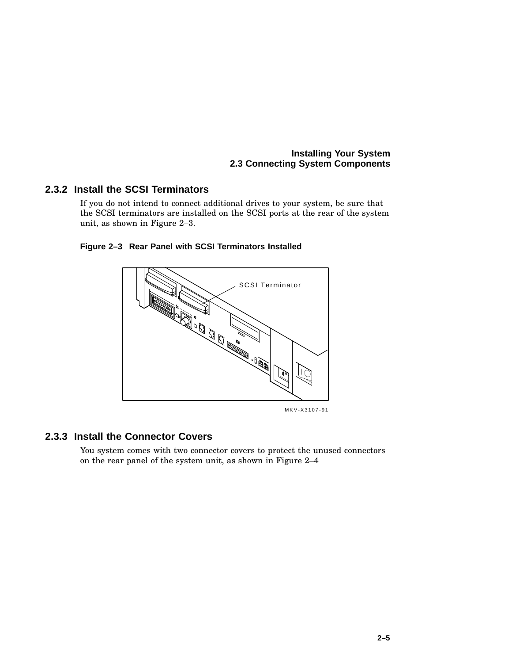## **2.3.2 Install the SCSI Terminators**

If you do not intend to connect additional drives to your system, be sure that the SCSI terminators are installed on the SCSI ports at the rear of the system unit, as shown in Figure 2–3.



**Figure 2–3 Rear Panel with SCSI Terminators Installed**

### **2.3.3 Install the Connector Covers**

You system comes with two connector covers to protect the unused connectors on the rear panel of the system unit, as shown in Figure 2–4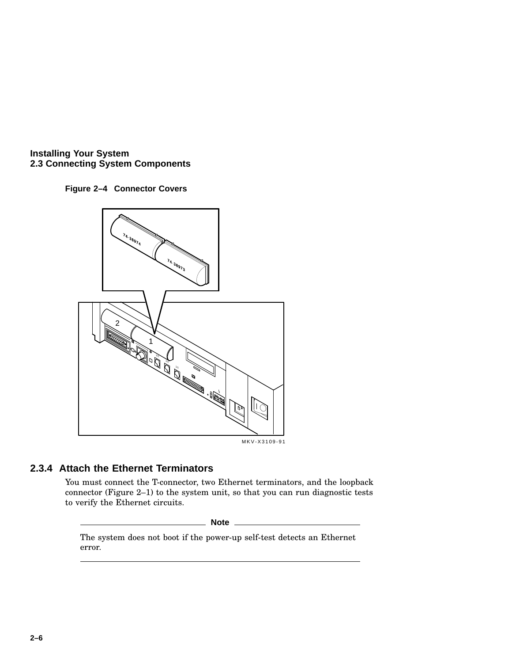





## **2.3.4 Attach the Ethernet Terminators**

You must connect the T-connector, two Ethernet terminators, and the loopback connector (Figure 2–1) to the system unit, so that you can run diagnostic tests to verify the Ethernet circuits.

#### **Note**

The system does not boot if the power-up self-test detects an Ethernet error.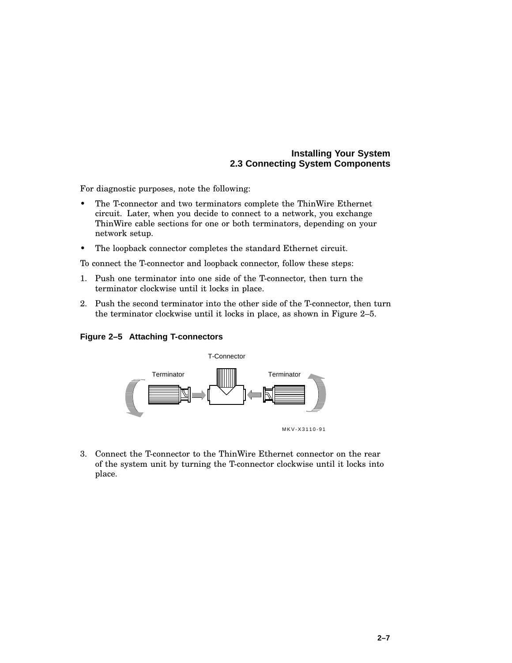For diagnostic purposes, note the following:

- The T-connector and two terminators complete the ThinWire Ethernet circuit. Later, when you decide to connect to a network, you exchange ThinWire cable sections for one or both terminators, depending on your network setup.
- The loopback connector completes the standard Ethernet circuit.

To connect the T-connector and loopback connector, follow these steps:

- 1. Push one terminator into one side of the T-connector, then turn the terminator clockwise until it locks in place.
- 2. Push the second terminator into the other side of the T-connector, then turn the terminator clockwise until it locks in place, as shown in Figure 2–5.

**Figure 2–5 Attaching T-connectors**



3. Connect the T-connector to the ThinWire Ethernet connector on the rear of the system unit by turning the T-connector clockwise until it locks into place.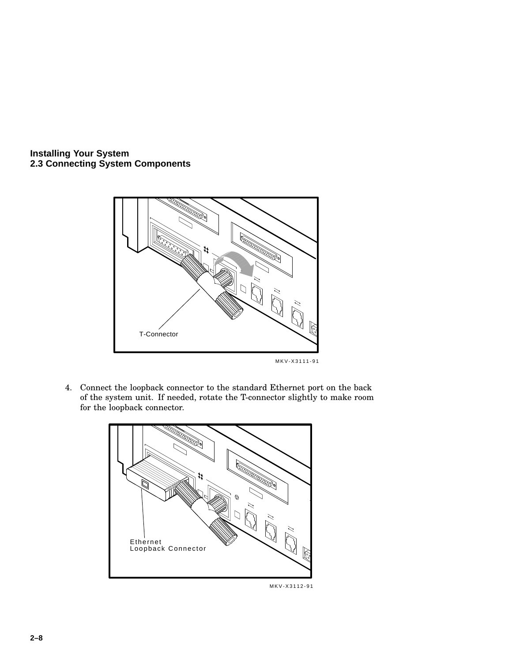

4. Connect the loopback connector to the standard Ethernet port on the back of the system unit. If needed, rotate the T-connector slightly to make room for the loopback connector.



**2–8**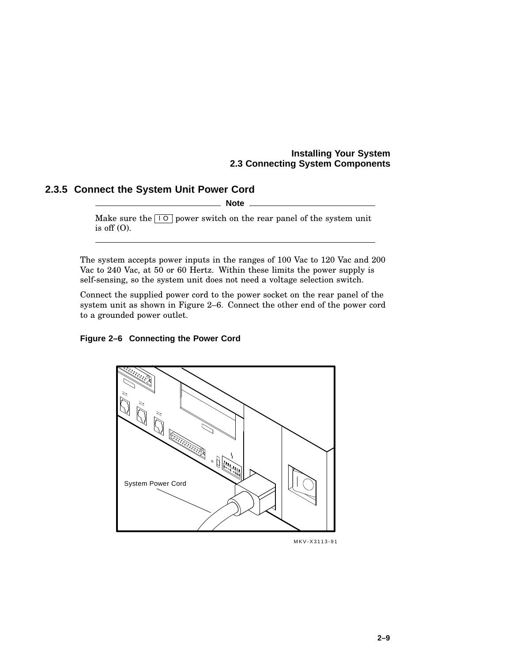## **2.3.5 Connect the System Unit Power Cord**

**Note**

Make sure the  $\boxed{10}$  power switch on the rear panel of the system unit is off  $(O)$ .

The system accepts power inputs in the ranges of 100 Vac to 120 Vac and 200 Vac to 240 Vac, at 50 or 60 Hertz. Within these limits the power supply is self-sensing, so the system unit does not need a voltage selection switch.

Connect the supplied power cord to the power socket on the rear panel of the system unit as shown in Figure 2–6. Connect the other end of the power cord to a grounded power outlet.

#### **Figure 2–6 Connecting the Power Cord**



MKV-X3113-91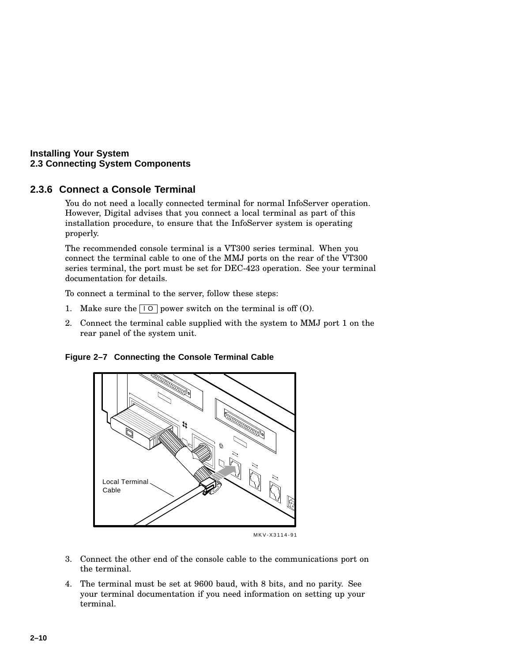## **2.3.6 Connect a Console Terminal**

You do not need a locally connected terminal for normal InfoServer operation. However, Digital advises that you connect a local terminal as part of this installation procedure, to ensure that the InfoServer system is operating properly.

The recommended console terminal is a VT300 series terminal. When you connect the terminal cable to one of the MMJ ports on the rear of the VT300 series terminal, the port must be set for DEC-423 operation. See your terminal documentation for details.

To connect a terminal to the server, follow these steps:

- 1. Make sure the  $\boxed{10}$  power switch on the terminal is off (O).
- 2. Connect the terminal cable supplied with the system to MMJ port 1 on the rear panel of the system unit.





MKV-X3114-91

- 3. Connect the other end of the console cable to the communications port on the terminal.
- 4. The terminal must be set at 9600 baud, with 8 bits, and no parity. See your terminal documentation if you need information on setting up your terminal.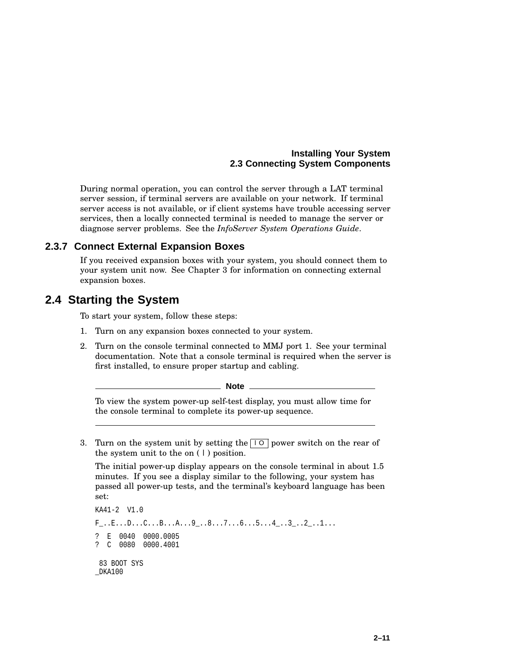During normal operation, you can control the server through a LAT terminal server session, if terminal servers are available on your network. If terminal server access is not available, or if client systems have trouble accessing server services, then a locally connected terminal is needed to manage the server or diagnose server problems. See the *InfoServer System Operations Guide*.

#### **2.3.7 Connect External Expansion Boxes**

If you received expansion boxes with your system, you should connect them to your system unit now. See Chapter 3 for information on connecting external expansion boxes.

## **2.4 Starting the System**

To start your system, follow these steps:

- 1. Turn on any expansion boxes connected to your system.
- 2. Turn on the console terminal connected to MMJ port 1. See your terminal documentation. Note that a console terminal is required when the server is first installed, to ensure proper startup and cabling.

**Note**

To view the system power-up self-test display, you must allow time for the console terminal to complete its power-up sequence.

3. Turn on the system unit by setting the  $\boxed{)}$  power switch on the rear of the system unit to the on ( | ) position.

The initial power-up display appears on the console terminal in about 1.5 minutes. If you see a display similar to the following, your system has passed all power-up tests, and the terminal's keyboard language has been set:

```
KA41-2 V1.0
F_-.E_...D_...C...B...A...9_...8...7...6...5...4_...3...2...1...? E 0040 0000.0005
? C 0080 0000.4001
 83 BOOT SYS
_DKA100
```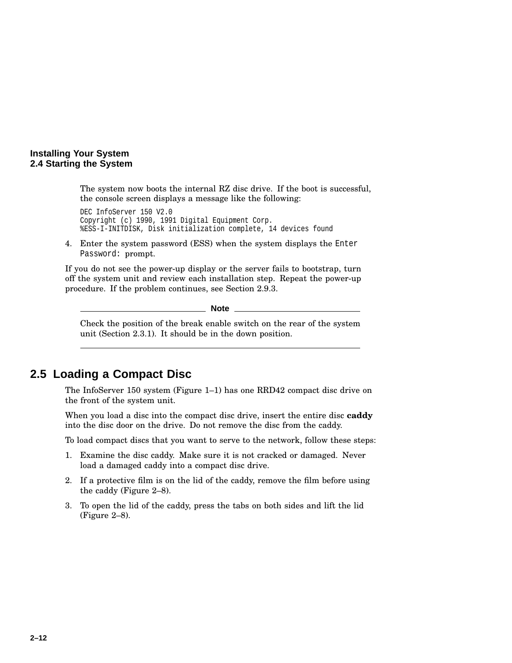#### **Installing Your System 2.4 Starting the System**

The system now boots the internal RZ disc drive. If the boot is successful, the console screen displays a message like the following:

DEC InfoServer 150 V2.0 Copyright (c) 1990, 1991 Digital Equipment Corp. %ESS-I-INITDISK, Disk initialization complete, 14 devices found

4. Enter the system password (ESS) when the system displays the Enter Password: prompt.

If you do not see the power-up display or the server fails to bootstrap, turn off the system unit and review each installation step. Repeat the power-up procedure. If the problem continues, see Section 2.9.3.

**Note** \_\_

Check the position of the break enable switch on the rear of the system unit (Section 2.3.1). It should be in the down position.

## **2.5 Loading a Compact Disc**

The InfoServer 150 system (Figure 1–1) has one RRD42 compact disc drive on the front of the system unit.

When you load a disc into the compact disc drive, insert the entire disc **caddy** into the disc door on the drive. Do not remove the disc from the caddy.

To load compact discs that you want to serve to the network, follow these steps:

- 1. Examine the disc caddy. Make sure it is not cracked or damaged. Never load a damaged caddy into a compact disc drive.
- 2. If a protective film is on the lid of the caddy, remove the film before using the caddy (Figure 2–8).
- 3. To open the lid of the caddy, press the tabs on both sides and lift the lid (Figure 2–8).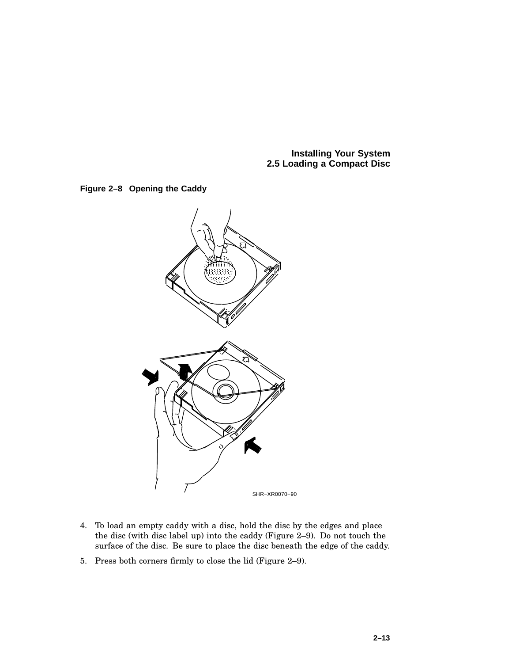**Installing Your System 2.5 Loading a Compact Disc**





- 4. To load an empty caddy with a disc, hold the disc by the edges and place the disc (with disc label up) into the caddy (Figure 2–9). Do not touch the surface of the disc. Be sure to place the disc beneath the edge of the caddy.
- 5. Press both corners firmly to close the lid (Figure 2–9).